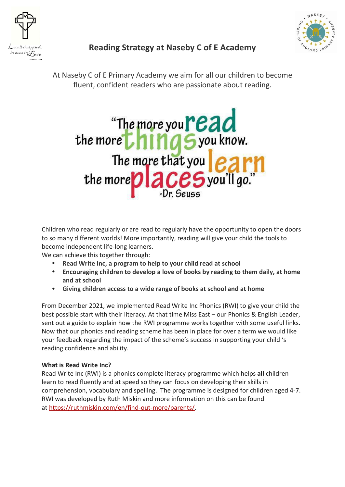



# **Reading Strategy at Naseby C of E Academy**

At Naseby C of E Primary Academy we aim for all our children to become fluent, confident readers who are passionate about reading.



Children who read regularly or are read to regularly have the opportunity to open the doors to so many different worlds! More importantly, reading will give your child the tools to become independent life-long learners.

We can achieve this together through:

- **Read Write Inc, a program to help to your child read at school**
- **Encouraging children to develop a love of books by reading to them daily, at home and at school**
- **Giving children access to a wide range of books at school and at home**

From December 2021, we implemented Read Write Inc Phonics (RWI) to give your child the best possible start with their literacy. At that time Miss East – our Phonics & English Leader, sent out a guide to explain how the RWI programme works together with some useful links. Now that our phonics and reading scheme has been in place for over a term we would like your feedback regarding the impact of the scheme's success in supporting your child 's reading confidence and ability.

## **What is Read Write Inc?**

Read Write Inc (RWI) is a phonics complete literacy programme which helps **all** children learn to read fluently and at speed so they can focus on developing their skills in comprehension, vocabulary and spelling. The programme is designed for children aged 4-7. RWI was developed by Ruth Miskin and more information on this can be found at [https://ruthmiskin.com/en/find-out-more/parents/.](https://ruthmiskin.com/en/find-out-more/parents/)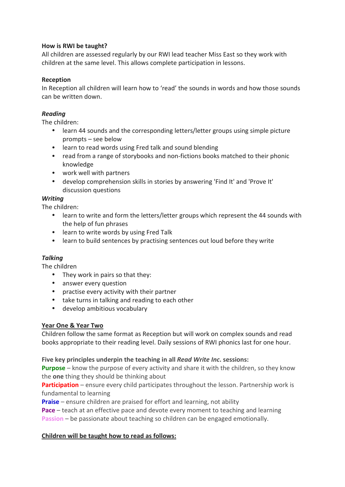#### **How is RWI be taught?**

All children are assessed regularly by our RWI lead teacher Miss East so they work with children at the same level. This allows complete participation in lessons.

#### **Reception**

In Reception all children will learn how to 'read' the sounds in words and how those sounds can be written down.

#### *Reading*

The children:

- learn 44 sounds and the corresponding letters/letter groups using simple picture prompts – see below
- learn to read words using Fred talk and sound blending
- read from a range of storybooks and non-fictions books matched to their phonic knowledge
- work well with partners
- develop comprehension skills in stories by answering 'Find It' and 'Prove It' discussion questions

#### *Writing*

The children:

- learn to write and form the letters/letter groups which represent the 44 sounds with the help of fun phrases
- learn to write words by using Fred Talk
- learn to build sentences by practising sentences out loud before they write

#### *Talking*

The children

- They work in pairs so that they:
- answer every question
- practise every activity with their partner
- take turns in talking and reading to each other
- develop ambitious vocabulary

#### **Year One & Year Two**

Children follow the same format as Reception but will work on complex sounds and read books appropriate to their reading level. Daily sessions of RWI phonics last for one hour.

**Five key principles underpin the teaching in all** *Read Write Inc***. sessions:**

**Purpose** – know the purpose of every activity and share it with the children, so they know the **one** thing they should be thinking about

**Participation** – ensure every child participates throughout the lesson. Partnership work is fundamental to learning

**Praise** – ensure children are praised for effort and learning, not ability

**Pace** – teach at an effective pace and devote every moment to teaching and learning

**Passion** – be passionate about teaching so children can be engaged emotionally.

#### **Children will be taught how to read as follows:**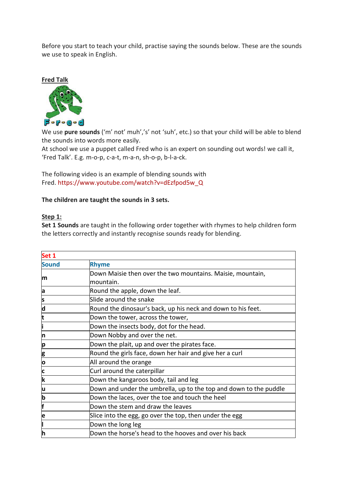Before you start to teach your child, practise saying the sounds below. These are the sounds we use to speak in English.



We use **pure sounds** ('m' not' muh','s' not 'suh', etc.) so that your child will be able to blend the sounds into words more easily.

At school we use a puppet called Fred who is an expert on sounding out words! we call it, 'Fred Talk'. E.g. m-o-p, c-a-t, m-a-n, sh-o-p, b-l-a-ck.

The following video is an example of blending sounds with Fred. [https://www.youtube.com/watch?v=dEzfpod5w\\_Q](https://www.youtube.com/watch?v=dEzfpod5w_Q)

## **The children are taught the sounds in 3 sets.**

#### **Step 1:**

**Set 1 Sounds** are taught in the following order together with rhymes to help children form the letters correctly and instantly recognise sounds ready for blending.

| Set 1                   |                                                                   |
|-------------------------|-------------------------------------------------------------------|
| <b>Sound</b>            | <b>Rhyme</b>                                                      |
| m                       | Down Maisie then over the two mountains. Maisie, mountain,        |
|                         | mountain.                                                         |
| a                       | Round the apple, down the leaf.                                   |
| s                       | Slide around the snake                                            |
| d                       | Round the dinosaur's back, up his neck and down to his feet.      |
| t                       | Down the tower, across the tower,                                 |
| i                       | Down the insects body, dot for the head.                          |
| 'n                      | Down Nobby and over the net.                                      |
| p                       | Down the plait, up and over the pirates face.                     |
|                         | Round the girls face, down her hair and give her a curl           |
| $\frac{g}{o}$           | All around the orange                                             |
| $\overline{\mathbf{c}}$ | Curl around the caterpillar                                       |
| k                       | Down the kangaroos body, tail and leg                             |
| u                       | Down and under the umbrella, up to the top and down to the puddle |
| þ                       | Down the laces, over the toe and touch the heel                   |
| F                       | Down the stem and draw the leaves                                 |
| e                       | Slice into the egg, go over the top, then under the egg           |
|                         | Down the long leg                                                 |
| h                       | Down the horse's head to the hooves and over his back             |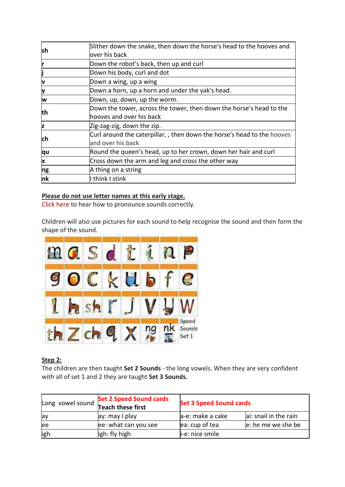| lsh        | Slither down the snake, then down the horse's head to the hooves and   |
|------------|------------------------------------------------------------------------|
|            | over his back                                                          |
| Ir         | Down the robot's back, then up and curl                                |
| j          | Down his body, curl and dot                                            |
| V          | Down a wing, up a wing                                                 |
| ly         | Down a horn, up a horn and under the yak's head.                       |
| w          | Down, up, down, up the worm.                                           |
| lth        | Down the tower, across the tower, then down the horse's head to the    |
|            | hooves and over his back                                               |
| z          | Zig-zag-zig, down the zip.                                             |
| <b>ch</b>  | Curl around the caterpillar,, then down the horse's head to the hooves |
|            | and over his back                                                      |
| qu         | Round the queen's head, up to her crown, down her hair and curl        |
| x          | Cross down the arm and leg and cross the other way                     |
| ng         | A thing on a string                                                    |
| n <b>k</b> | think I stink                                                          |

## **Please do not use letter names at this early stage.**

Click [here](https://www.youtube.com/watch?v=EYx1CyDMZSc) to hear how to pronounce sounds correctly.

Children will also use pictures for each sound to help recognise the sound and then form the shape of the sound.



# **Step 2:**

The children are then taught **Set 2 Sounds** - the long vowels. When they are very confident with all of set 1 and 2 they are taught **Set 3 Sounds.**

| Long vowel sound | <b>Set 2 Speed Sound cards</b><br>Teach these first | <b>Set 3 Speed Sound cards</b> |                       |
|------------------|-----------------------------------------------------|--------------------------------|-----------------------|
| lay              | ay: may I play                                      | a-e: make a cake               | ai: snail in the rain |
| lee              | ee: what can you see                                | ea: cup of tea                 | e: he me we she be    |
| igh              | ligh: fly high                                      | i-e: nice smile                |                       |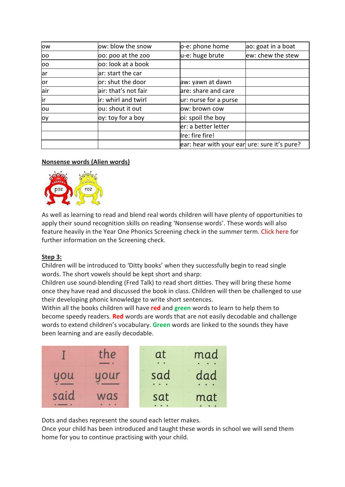| ow  | ow: blow the snow    | o-e: phone home                              | ao: goat in a boat |
|-----|----------------------|----------------------------------------------|--------------------|
| 00  | 00: poo at the zoo   | u-e: huge brute                              | ew: chew the stew  |
| OO  | oo: look at a book   |                                              |                    |
| lar | ar: start the car    |                                              |                    |
| lor | or: shut the door    | aw: yawn at dawn                             |                    |
| air | air: that's not fair | are: share and care                          |                    |
| İr  | ir: whirl and twirl  | ur: nurse for a purse                        |                    |
| lou | ou: shout it out     | ow: brown cow                                |                    |
| loy | oy: toy for a boy    | oi: spoil the boy                            |                    |
|     |                      | er: a better letter                          |                    |
|     |                      | Ire: fire fire!                              |                    |
|     |                      | ear: hear with your ear ure: sure it's pure? |                    |

## **Nonsense words (Alien words)**



As well as learning to read and blend real words children will have plenty of opportunities to apply their sound recognition skills on reading 'Nonsense words'. These words will also feature heavily in the Year One Phonics Screening check in the summer term. Click [here](https://www.sir-francis-hill.lincs.sch.uk/phonics-screening-check/) for further information on the Screening check.

## **Step 3:**

Children will be introduced to 'Ditty books' when they successfully begin to read single words. The short vowels should be kept short and sharp:

Children use sound-blending (Fred Talk) to read short ditties. They will bring these home once they have read and discussed the book in class. Children will then be challenged to use their developing phonic knowledge to write short sentences.

Within all the books children will have **red** and **green** words to learn to help them to become speedy readers. **Red** words are words that are not easily decodable and challenge words to extend children's vocabulary. **Green** words are linked to the sounds they have been learning and are easily decodable.

|      | the | at  | mad |
|------|-----|-----|-----|
| uou  | our | sad | dad |
| said | was | sat | mat |

Dots and dashes represent the sound each letter makes.

Once your child has been introduced and taught these words in school we will send them home for you to continue practising with your child.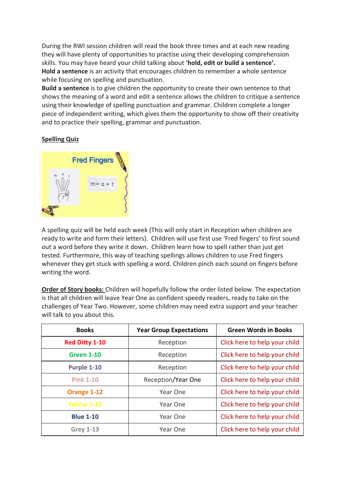During the RWI session children will read the book three times and at each new reading they will have plenty of opportunities to practise using their developing comprehension skills. You may have heard your child talking about '**hold, edit or build a sentence'. Hold a sentence** is an activity that encourages children to remember a whole sentence while focusing on spelling and punctuation.

**Build a sentence** is to give children the opportunity to create their own sentence to that shows the meaning of a word and edit a sentence allows the children to critique a sentence using their knowledge of spelling punctuation and grammar. Children complete a longer piece of independent writing, which gives them the opportunity to show off their creativity and to practice their spelling, grammar and punctuation.

# **Spelling Quiz**



A spelling quiz will be held each week (This will only start in Reception when children are ready to write and form their letters). Children will use first use 'Fred fingers' to first sound out a word before they write it down. Children learn how to spell rather than just get tested. Furthermore, this way of teaching spellings allows children to use Fred fingers whenever they get stuck with spelling a word. Children pinch each sound on fingers before writing the word.

**Order of Story books:** Children will hopefully follow the order listed below. The expectation is that all children will leave Year One as confident speedy readers, ready to take on the challenges of Year Two. However, some children may need extra support and your teacher will talk to you about this.

| <b>Books</b>       | <b>Year Group Expectations</b> | <b>Green Words in Books</b>   |
|--------------------|--------------------------------|-------------------------------|
| Red Ditty 1-10     | Reception                      | Click here to help your child |
| <b>Green 1-10</b>  | Reception                      | Click here to help your child |
| Purple 1-10        | Reception                      | Click here to help your child |
| <b>Pink 1-10</b>   | Reception/Year One             | Click here to help your child |
| Orange 1-12        | Year One                       | Click here to help your child |
| <b>Yellow 1-10</b> | Year One                       | Click here to help your child |
| <b>Blue 1-10</b>   | Year One                       | Click here to help your child |
| <b>Grey 1-13</b>   | Year One                       | Click here to help your child |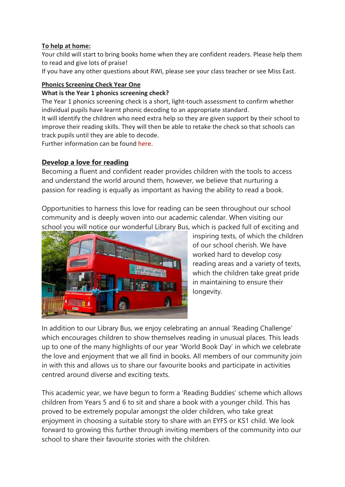# **To help at home:**

Your child will start to bring books home when they are confident readers. Please help them to read and give lots of praise!

If you have any other questions about RWI, please see your class teacher or see Miss East.

## **Phonics Screening Check Year One**

## **What is the Year 1 phonics screening check?**

The Year 1 phonics screening check is a short, light-touch assessment to confirm whether individual pupils have learnt phonic decoding to an appropriate standard.

It will identify the children who need extra help so they are given support by their school to improve their reading skills. They will then be able to retake the check so that schools can track pupils until they are able to decode.

Further information can be found here.

# **Develop a love for reading**

Becoming a fluent and confident reader provides children with the tools to access and understand the world around them, however, we believe that nurturing a passion for reading is equally as important as having the ability to read a book.

Opportunities to harness this love for reading can be seen throughout our school community and is deeply woven into our academic calendar. When visiting our school you will notice our wonderful Library Bus, which is packed full of exciting and



inspiring texts, of which the children of our school cherish. We have worked hard to develop cosy reading areas and a variety of texts, which the children take great pride in maintaining to ensure their longevity.

In addition to our Library Bus, we enjoy celebrating an annual 'Reading Challenge' which encourages children to show themselves reading in unusual places. This leads up to one of the many highlights of our year 'World Book Day' in which we celebrate the love and enjoyment that we all find in books. All members of our community join in with this and allows us to share our favourite books and participate in activities centred around diverse and exciting texts.

This academic year, we have begun to form a 'Reading Buddies' scheme which allows children from Years 5 and 6 to sit and share a book with a younger child. This has proved to be extremely popular amongst the older children, who take great enjoyment in choosing a suitable story to share with an EYFS or KS1 child. We look forward to growing this further through inviting members of the community into our school to share their favourite stories with the children.